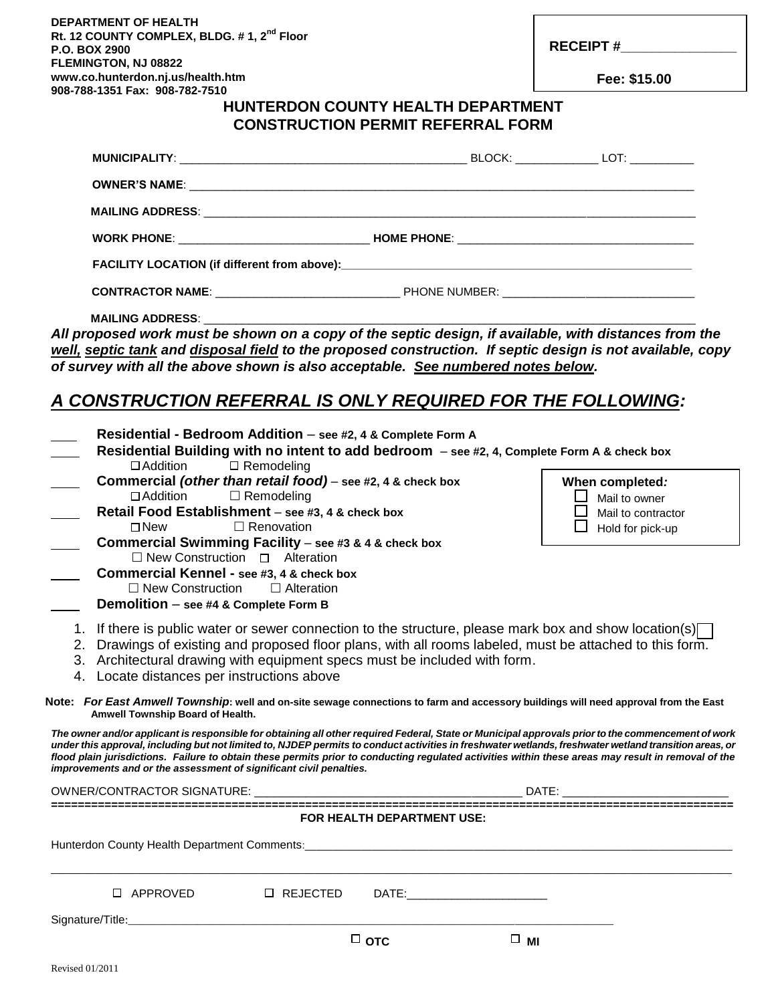**DEPARTMENT OF HEALTH Rt. 12 COUNTY COMPLEX, BLDG. # 1, 2nd Floor P.O. BOX 2900 FLEMINGTON, NJ 08822 www.co.hunterdon.nj.us/health.htm 908-788-1351 Fax: 908-782-7510** 

**RECEIPT #\_\_\_\_\_\_\_\_\_\_\_\_\_\_\_**

 **Fee: \$15.00**

#### **HUNTERDON COUNTY HEALTH DEPARTMENT CONSTRUCTION PERMIT REFERRAL FORM**

| <b>WORK PHONE:</b> NOW THOME PHONE: NOW THOME PHONE: |  |  |
|------------------------------------------------------|--|--|
|                                                      |  |  |
|                                                      |  |  |

**MAILING ADDRESS:** 

*All proposed work must be shown on a copy of the septic design, if available, with distances from the well, septic tank and disposal field to the proposed construction. If septic design is not available, copy of survey with all the above shown is also acceptable. See numbered notes below.*

### *A CONSTRUCTION REFERRAL IS ONLY REQUIRED FOR THE FOLLOWING:*

| Residential - Bedroom Addition - see #2, 4 & Complete Form A<br>Residential Building with no intent to add bedroom - see #2, 4, Complete Form A & check box<br>$\Box$ Remodeling<br>$\Box$ Addition                                                                                                                                                                                                                                                                                                                                       |                                                                                                 |  |
|-------------------------------------------------------------------------------------------------------------------------------------------------------------------------------------------------------------------------------------------------------------------------------------------------------------------------------------------------------------------------------------------------------------------------------------------------------------------------------------------------------------------------------------------|-------------------------------------------------------------------------------------------------|--|
| Commercial (other than retail food) - see #2, 4 & check box<br>$\Box$ Remodeling<br>$\Box$ Addition<br>Retail Food Establishment - see #3, 4 & check box<br>□ Renovation<br>$\square$ New<br>Commercial Swimming Facility - see #3 & 4 & check box<br>$\Box$ New Construction $\Box$ Alteration<br>Commercial Kennel - see #3, 4 & check box                                                                                                                                                                                              | When completed:<br>$\Box$ Mail to owner<br>$\Box$ Mail to contractor<br>$\Box$ Hold for pick-up |  |
| $\Box$ New Construction<br>$\Box$ Alteration<br>Demolition - see #4 & Complete Form B                                                                                                                                                                                                                                                                                                                                                                                                                                                     |                                                                                                 |  |
| 1. If there is public water or sewer connection to the structure, please mark box and show location(s)<br>2. Drawings of existing and proposed floor plans, with all rooms labeled, must be attached to this form.<br>3. Architectural drawing with equipment specs must be included with form.<br>4. Locate distances per instructions above                                                                                                                                                                                             |                                                                                                 |  |
| Note: For East Amwell Township: well and on-site sewage connections to farm and accessory buildings will need approval from the East<br>Amwell Township Board of Health.                                                                                                                                                                                                                                                                                                                                                                  |                                                                                                 |  |
| The owner and/or applicant is responsible for obtaining all other required Federal, State or Municipal approvals prior to the commencement of work<br>under this approval, including but not limited to, NJDEP permits to conduct activities in freshwater wetlands, freshwater wetland transition areas, or<br>flood plain jurisdictions. Failure to obtain these permits prior to conducting regulated activities within these areas may result in removal of the<br>improvements and or the assessment of significant civil penalties. |                                                                                                 |  |
|                                                                                                                                                                                                                                                                                                                                                                                                                                                                                                                                           |                                                                                                 |  |
| FOR HEALTH DEPARTMENT USE:                                                                                                                                                                                                                                                                                                                                                                                                                                                                                                                |                                                                                                 |  |
|                                                                                                                                                                                                                                                                                                                                                                                                                                                                                                                                           |                                                                                                 |  |
| $\Box$ APPROVED<br>$\Box$ REJECTED<br>DATE:___________________________                                                                                                                                                                                                                                                                                                                                                                                                                                                                    |                                                                                                 |  |
| Signature/Title: Website: Website: Website: Website: Website: Website: Website: Website: Website: Website: Website: Website: Website: Website: Website: Website: Website: Website: Website: Website: Website: Website: Website<br>□ отс<br>$\Box$ MI                                                                                                                                                                                                                                                                                      |                                                                                                 |  |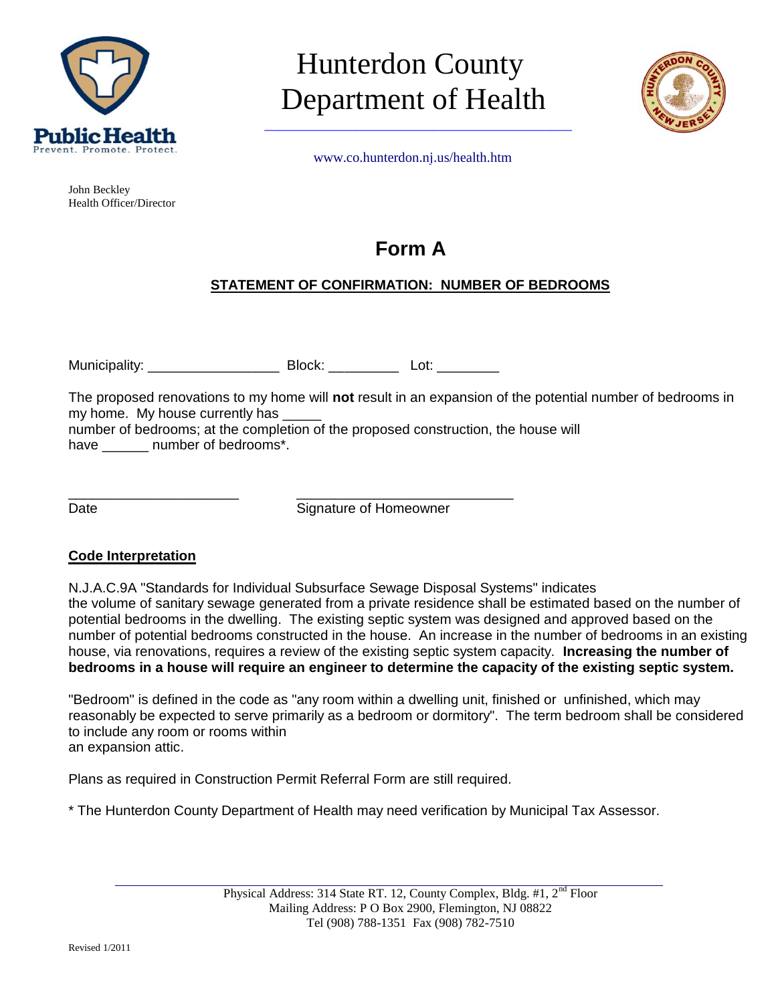

John Beckley Health Officer/Director

## Hunterdon County Department of Health



Promote. Protect.<br>www.co.hunterdon.ni.us/health.htm

### **Form A**

#### **STATEMENT OF CONFIRMATION: NUMBER OF BEDROOMS**

Municipality: \_\_\_\_\_\_\_\_\_\_\_\_\_\_\_\_\_\_\_\_\_\_\_\_\_\_ Block: \_\_\_\_\_\_\_\_\_\_\_\_\_\_ Lot: \_\_\_\_\_\_\_\_\_\_\_\_

\_\_\_\_\_\_\_\_\_\_\_\_\_\_\_\_\_\_\_\_\_\_ \_\_\_\_\_\_\_\_\_\_\_\_\_\_\_\_\_\_\_\_\_\_\_\_\_\_\_\_

The proposed renovations to my home will **not** result in an expansion of the potential number of bedrooms in my home. My house currently has

number of bedrooms; at the completion of the proposed construction, the house will have \_\_\_\_\_\_ number of bedrooms\*.

Date **Signature of Homeowner** 

#### **Code Interpretation**

N.J.A.C.9A "Standards for Individual Subsurface Sewage Disposal Systems" indicates the volume of sanitary sewage generated from a private residence shall be estimated based on the number of potential bedrooms in the dwelling. The existing septic system was designed and approved based on the number of potential bedrooms constructed in the house. An increase in the number of bedrooms in an existing house, via renovations, requires a review of the existing septic system capacity. **Increasing the number of bedrooms in a house will require an engineer to determine the capacity of the existing septic system.**

"Bedroom" is defined in the code as "any room within a dwelling unit, finished or unfinished, which may reasonably be expected to serve primarily as a bedroom or dormitory". The term bedroom shall be considered to include any room or rooms within an expansion attic.

Plans as required in Construction Permit Referral Form are still required.

\* The Hunterdon County Department of Health may need verification by Municipal Tax Assessor.